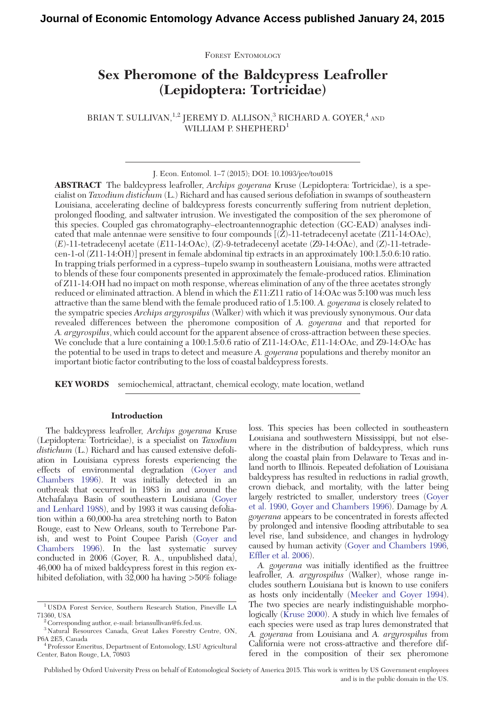FOREST ENTOMOLOGY

# Sex Pheromone of the Baldcypress Leafroller (Lepidoptera: Tortricidae)

BRIAN T. SULLIVAN,  $^{1,2}$  JEREMY D. ALLISON,  $^3$  RICHARD A. GOYER,  $^4$  and WILLIAM P. SHEPHERD<sup>1</sup>

J. Econ. Entomol. 1–7 (2015); DOI: 10.1093/jee/tou018

ABSTRACT The baldcypress leafroller, Archips goyerana Kruse (Lepidoptera: Tortricidae), is a specialist on Taxodium distichum (L.) Richard and has caused serious defoliation in swamps of southeastern Louisiana, accelerating decline of baldcypress forests concurrently suffering from nutrient depletion, prolonged flooding, and saltwater intrusion. We investigated the composition of the sex pheromone of this species. Coupled gas chromatography–electroantennographic detection (GC-EAD) analyses indicated that male antennae were sensitive to four compounds  $[(Z)-11$ -tetradecenyl acetate  $(Z11-14:OAc)$ , (E)-11-tetradecenyl acetate (E11-14:OAc), (Z)-9-tetradecenyl acetate (Z9-14:OAc), and (Z)-11-tetradecen-1-ol (Z11-14:OH)] present in female abdominal tip extracts in an approximately 100:1.5:0.6:10 ratio. In trapping trials performed in a cypress–tupelo swamp in southeastern Louisiana, moths were attracted to blends of these four components presented in approximately the female-produced ratios. Elimination of Z11-14:OH had no impact on moth response, whereas elimination of any of the three acetates strongly reduced or eliminated attraction. A blend in which the E11:Z11 ratio of 14:OAc was 5:100 was much less attractive than the same blend with the female produced ratio of 1.5:100. A. *goyerana* is closely related to the sympatric species Archips argyrospilus (Walker) with which it was previously synonymous. Our data revealed differences between the pheromone composition of A. goyerana and that reported for A. argyrospilus, which could account for the apparent absence of cross-attraction between these species. We conclude that a lure containing a 100:1.5:0.6 ratio of Z11-14:OAc, E11-14:OAc, and Z9-14:OAc has the potential to be used in traps to detect and measure A. goyerana populations and thereby monitor an important biotic factor contributing to the loss of coastal baldcypress forests.

KEY WORDS semiochemical, attractant, chemical ecology, mate location, wetland

# Introduction

The baldcypress leafroller, Archips goyerana Kruse (Lepidoptera: Tortricidae), is a specialist on Taxodium distichum (L.) Richard and has caused extensive defoliation in Louisiana cypress forests experiencing the effects of environmental degradation ([Goyer and](#page-6-0) [Chambers 1996](#page-6-0)). It was initially detected in an outbreak that occurred in 1983 in and around the Atchafalaya Basin of southeastern Louisiana ([Goyer](#page-6-0) [and Lenhard 1988](#page-6-0)), and by 1993 it was causing defoliation within a 60,000-ha area stretching north to Baton Rouge, east to New Orleans, south to Terrebone Parish, and west to Point Coupee Parish ([Goyer and](#page-6-0) [Chambers 1996](#page-6-0)). In the last systematic survey conducted in 2006 (Goyer, R. A., unpublished data), 46,000 ha of mixed baldcypress forest in this region exhibited defoliation, with 32,000 ha having >50% foliage

loss. This species has been collected in southeastern Louisiana and southwestern Mississippi, but not elsewhere in the distribution of baldcypress, which runs along the coastal plain from Delaware to Texas and inland north to Illinois. Repeated defoliation of Louisiana baldcypress has resulted in reductions in radial growth, crown dieback, and mortality, with the latter being largely restricted to smaller, understory trees ([Goyer](#page-6-0) [et al. 1990,](#page-6-0) [Goyer and Chambers 1996](#page-6-0)). Damage by A. goyerana appears to be concentrated in forests affected by prolonged and intensive flooding attributable to sea level rise, land subsidence, and changes in hydrology caused by human activity [\(Goyer and Chambers 1996,](#page-6-0) [Effler et al. 2006](#page-5-0)).

A. goyerana was initially identified as the fruittree leafroller, A. argyrospilus (Walker), whose range includes southern Louisiana but is known to use conifers as hosts only incidentally [\(Meeker and Goyer 1994](#page-6-0)). The two species are nearly indistinguishable morphologically ([Kruse 2000\)](#page-6-0). A study in which live females of each species were used as trap lures demonstrated that A. goyerana from Louisiana and A. argyrospilus from California were not cross-attractive and therefore differed in the composition of their sex pheromone

Published by Oxford University Press on behalf of Entomological Society of America 2015. This work is written by US Government employees and is in the public domain in the US.

<sup>1</sup> USDA Forest Service, Southern Research Station, Pineville LA 71360, USA<br> $\degree$  Corresponding author, e-mail: briansullivan@fs.fed.us.

<sup>3</sup> Natural Resources Canada, Great Lakes Forestry Centre, ON, P6A 2E5, Canada <sup>4</sup> Professor Emeritus, Department of Entomology, LSU Agricultural

Center, Baton Rouge, LA, 70803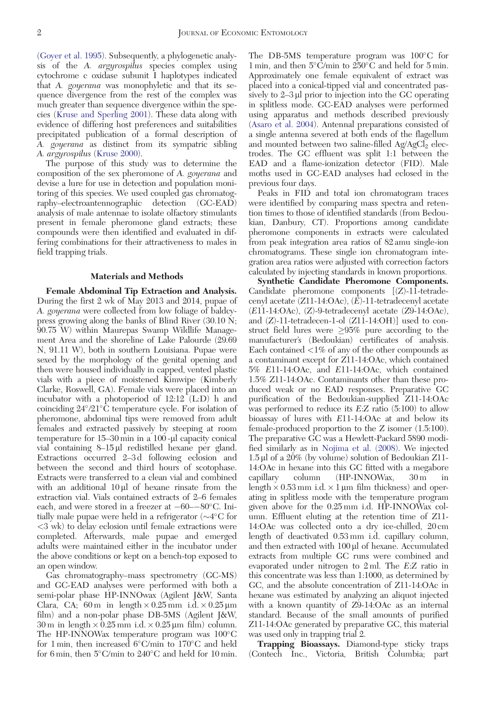([Goyer et al. 1995\)](#page-6-0). Subsequently, a phylogenetic analysis of the A. argyrospilus species complex using cytochrome c oxidase subunit I haplotypes indicated that A. goyerana was monophyletic and that its sequence divergence from the rest of the complex was much greater than sequence divergence within the species [\(Kruse and Sperling 2001\)](#page-6-0). These data along with evidence of differing host preferences and suitabilities precipitated publication of a formal description of A. goyerana as distinct from its sympatric sibling A. argyrospilus [\(Kruse 2000](#page-6-0)).

The purpose of this study was to determine the composition of the sex pheromone of A. goyerana and devise a lure for use in detection and population monitoring of this species. We used coupled gas chromatography–electroantennographic detection (GC-EAD) analysis of male antennae to isolate olfactory stimulants present in female pheromone gland extracts; these compounds were then identified and evaluated in differing combinations for their attractiveness to males in field trapping trials.

#### Materials and Methods

Female Abdominal Tip Extraction and Analysis. During the first 2 wk of May 2013 and 2014, pupae of A. goyerana were collected from low foliage of baldcypress growing along the banks of Blind River (30.10 N; 90.75 W) within Maurepas Swamp Wildlife Management Area and the shoreline of Lake Palourde (29.69 N, 91.11 W), both in southern Louisiana. Pupae were sexed by the morphology of the genital opening and then were housed individually in capped, vented plastic vials with a piece of moistened Kimwipe (Kimberly Clarke, Roswell, GA). Female vials were placed into an incubator with a photoperiod of  $12:12$ <sup> $\check{ }$ </sup>(L:D) h and coinciding  $24^{\circ}/21^{\circ}$ C temperature cycle. For isolation of pheromone, abdominal tips were removed from adult females and extracted passively by steeping at room temperature for  $15-30$  min in a  $100$ - $\mu$ l capacity conical vial containing 8–15 µl redistilled hexane per gland. Extractions occurred 2–3 d following eclosion and between the second and third hours of scotophase. Extracts were transferred to a clean vial and combined with an additional  $10 \mu l$  of hexane rinsate from the extraction vial. Vials contained extracts of 2–6 females each, and were stored in a freezer at  $-60$ - $-80^{\circ}$ C. Initially male pupae were held in a refrigerator  $(\sim4^{\circ}C$  for <3 wk) to delay eclosion until female extractions were completed. Afterwards, male pupae and emerged adults were maintained either in the incubator under the above conditions or kept on a bench-top exposed to an open window.

Gas chromatography–mass spectrometry (GC-MS) and GC-EAD analyses were performed with both a semi-polar phase HP-INNOwax (Agilent J&W, Santa Clara, CA; 60 m in length  $\times$  0.25 mm i.d.  $\times$  0.25 µm film) and a non-polar phase DB-5MS (Agilent J&W,  $30 \text{ m}$  in length  $\times$  0.25 mm i.d.  $\times$  0.25 µm film) column. The HP-INNOWax temperature program was 100°C for 1 min, then increased  $6^{\circ}$ C/min to 170 $^{\circ}$ C and held for 6 min, then  $5^{\circ}$ C/min to  $240^{\circ}$ C and held for 10 min.

The DB-5MS temperature program was 100°C for 1 min, and then  $5^{\circ}$ C/min to  $250^{\circ}$ C and held for 5 min. Approximately one female equivalent of extract was placed into a conical-tipped vial and concentrated passively to  $2-3$   $\mu$ l prior to injection into the GC operating in splitless mode. GC-EAD analyses were performed using apparatus and methods described previously [\(Asaro et al. 2004\)](#page-5-0). Antennal preparations consisted of a single antenna severed at both ends of the flagellum and mounted between two saline-filled  $Ag/AgCl<sub>2</sub>$  electrodes. The GC effluent was split 1:1 between the EAD and a flame-ionization detector (FID). Male moths used in GC-EAD analyses had eclosed in the previous four days.

Peaks in FID and total ion chromatogram traces were identified by comparing mass spectra and retention times to those of identified standards (from Bedoukian, Danbury, CT). Proportions among candidate pheromone components in extracts were calculated from peak integration area ratios of 82 amu single-ion chromatograms. These single ion chromatogram integration area ratios were adjusted with correction factors calculated by injecting standards in known proportions.

Synthetic Candidate Pheromone Components. Candidate pheromone components [(Z)-11-tetradecenyl acetate  $(Z11-14:OAc)$ ,  $(\overline{E})-11$ -tetradecenyl acetate (E11-14:OAc), (Z)-9-tetradecenyl acetate (Z9-14:OAc), and (Z)-11-tetradecen-1-ol (Z11-14:OH)] used to construct field lures were  $\geq 95\%$  pure according to the manufacturer's (Bedoukian) certificates of analysis. Each contained <1% of any of the other compounds as a contaminant except for Z11-14:OAc, which contained 5% E11-14:OAc, and E11-14:OAc, which contained 1.5% Z11-14:OAc. Contaminants other than these produced weak or no EAD responses. Preparative GC purification of the Bedoukian-supplied Z11-14:OAc was performed to reduce its E:Z ratio (5:100) to allow bioassay of lures with E11-14:OAc at and below its female-produced proportion to the Z isomer (1.5:100). The preparative GC was a Hewlett-Packard 5890 modified similarly as in [Nojima et al. \(2008\).](#page-6-0) We injected 1.5 ml of a 20% (by volume) solution of Bedoukian Z11- 14:OAc in hexane into this GC fitted with a megabore capillary column (HP-INNOWax, 30 m in length  $\times$  0.53 mm i.d.  $\times$  1 µm film thickness) and operating in splitless mode with the temperature program given above for the 0.25 mm i.d. HP-INNOWax column. Effluent eluting at the retention time of Z11- 14:OAc was collected onto a dry ice-chilled, 20 cm length of deactivated 0.53 mm i.d. capillary column, and then extracted with  $100 \mu$  of hexane. Accumulated extracts from multiple GC runs were combined and evaporated under nitrogen to 2 ml. The E:Z ratio in this concentrate was less than 1:1000, as determined by GC, and the absolute concentration of Z11-14:OAc in hexane was estimated by analyzing an aliquot injected with a known quantity of Z9-14:OAc as an internal standard. Because of the small amounts of purified Z11-14:OAc generated by preparative GC, this material was used only in trapping trial 2.

Trapping Bioassays. Diamond-type sticky traps (Contech Inc., Victoria, British Columbia; part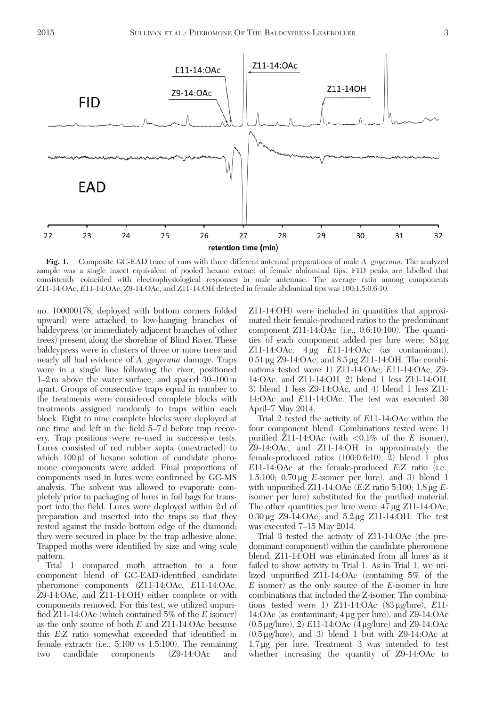<span id="page-2-0"></span>

Fig. 1. Composite GC-EAD trace of runs with three different antennal preparations of male A. goyerana. The analyzed sample was a single insect equivalent of pooled hexane extract of female abdominal tips. FID peaks are labelled that consistently coincided with electrophysiological responses in male antennae. The average ratio among components Z11-14:OAc, E11-14:OAc, Z9-14:OAc, and Z11-14:OH detected in female abdominal tips was 100:1.5:0.6:10.

no. 100000178; deployed with bottom corners folded upward) were attached to low-hanging branches of baldcypress (or immediately adjacent branches of other trees) present along the shoreline of Blind River. These baldcypress were in clusters of three or more trees and nearly all had evidence of A. goyerana damage. Traps were in a single line following the river, positioned 1–2 m above the water surface, and spaced 30–100 m apart. Groups of consecutive traps equal in number to the treatments were considered complete blocks with treatments assigned randomly to traps within each block. Eight to nine complete blocks were deployed at one time and left in the field 5–7 d before trap recovery. Trap positions were re-used in successive tests. Lures consisted of red rubber septa (unextracted) to which  $100 \mu l$  of hexane solution of candidate pheromone components were added. Final proportions of components used in lures were confirmed by GC-MS analysis. The solvent was allowed to evaporate completely prior to packaging of lures in foil bags for transport into the field. Lures were deployed within 2 d of preparation and inserted into the traps so that they rested against the inside bottom edge of the diamond; they were secured in place by the trap adhesive alone. Trapped moths were identified by size and wing scale pattern.

Trial 1 compared moth attraction to a four component blend of GC-EAD-identified candidate pheromone components (Z11-14:OAc, E11-14:OAc, Z9-14:OAc, and Z11-14:OH) either complete or with components removed. For this test, we utilized unpurified Z11-14:OAc (which contained 5% of the E isomer) as the only source of both E and Z11-14:OAc because this E:Z ratio somewhat exceeded that identified in female extracts (i.e., 5:100 vs 1.5:100). The remaining two candidate components (Z9-14:OAc and

Z11-14:OH) were included in quantities that approximated their female-produced ratios to the predominant component Z11-14:OAc (i.e., 0.6:10:100). The quantities of each component added per lure were:  $83 \mu g$ Z11-14:OAc,  $4 \mu g$  E11-14:OAc (as contaminant),  $0.51 \,\mu g$  Z9-14:OAc, and  $8.5 \,\mu g$  Z11-14:OH. The combinations tested were 1) Z11-14:OAc, E11-14:OAc, Z9- 14:OAc, and Z11-14:OH, 2) blend 1 less Z11-14:OH, 3) blend 1 less Z9-14:OAc, and 4) blend 1 less Z11- 14:OAc and E11-14:OAc. The test was executed 30 April–7 May 2014.

Trial 2 tested the activity of E11-14:OAc within the four component blend. Combinations tested were 1) purified Z11-14:OAc (with  $\langle 0.1\%$  of the E isomer), Z9-14:OAc, and Z11-14:OH in approximately the female-produced ratios (100:0.6:10), 2) blend 1 plus E11-14:OAc at the female-produced E:Z ratio (i.e., 1.5:100;  $0.70 \,\mu\text{g}$  *E*-isomer per lure), and 3) blend 1 with unpurified Z11-14:OAc (E:Z ratio 5:100; 1.8  $\mu$ g Eisomer per lure) substituted for the purified material. The other quantities per lure were:  $47 \mu g$  Z11-14:OAc,  $0.30 \,\mu g$  Z9-14:OAc, and  $5.2 \,\mu g$  Z11-14:OH. The test was executed 7–15 May 2014.

Trial 3 tested the activity of Z11-14:OAc (the predominant component) within the candidate pheromone blend. Z11-14:OH was eliminated from all lures as it failed to show activity in Trial 1. As in Trial 1, we utilized unpurified Z11-14:OAc (containing 5% of the E isomer) as the only source of the E-isomer in lure combinations that included the Z-isomer. The combinations tested were 1)  $Z11-14:OAc$  (83  $\mu$ g/lure),  $E11-$ 14:OAc (as contaminant; 4 μg per lure), and Z9-14:OAc (0.5 mg/lure), 2) E11-14:OAc (4 mg/lure) and Z9-14:OAc  $(0.5 \,\mu\text{g/lure})$ , and 3) blend 1 but with Z9-14:OAc at  $1.7 \,\mu$ g per lure. Treatment 3 was intended to test whether increasing the quantity of Z9-14:OAc to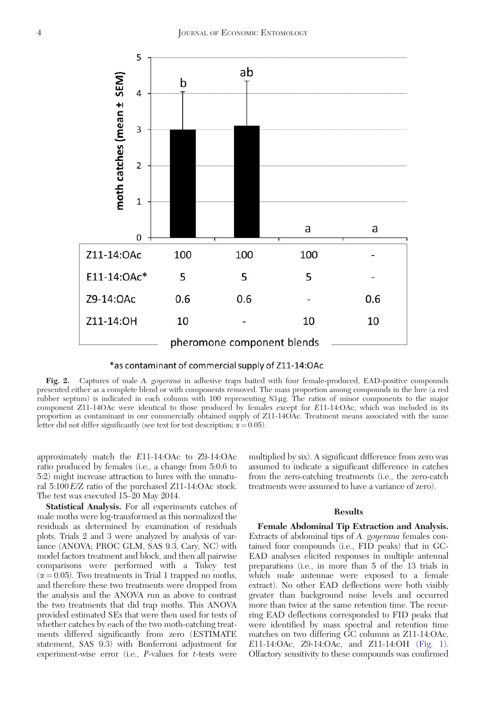<span id="page-3-0"></span>



Fig. 2. Captures of male A. goyerana in adhesive traps baited with four female-produced, EAD-positive compounds presented either as a complete blend or with components removed. The mass proportion among compounds in the lure (a red rubber septum) is indicated in each column with 100 representing 83 mg. The ratios of minor components to the major component Z11-14OAc were identical to those produced by females except for E11-14:OAc, which was included in its proportion as contaminant in our commercially obtained supply of Z11-14OAc. Treatment means associated with the same letter did not differ significantly (see text for test description;  $\alpha = 0.05$ ).

approximately match the E11-14:OAc to Z9-14:OAc ratio produced by females (i.e., a change from 5:0.6 to 5:2) might increase attraction to lures with the unnatural 5:100E/Z ratio of the purchased Z11-14:OAc stock. The test was executed 15–20 May 2014.

Statistical Analysis. For all experiments catches of male moths were log-transformed as this normalized the residuals as determined by examination of residuals plots. Trials 2 and 3 were analyzed by analysis of variance (ANOVA; PROC GLM, SAS 9.3, Cary, NC) with model factors treatment and block, and then all pairwise comparisons were performed with a Tukey test  $(\alpha = 0.05)$ . Two treatments in Trial 1 trapped no moths, and therefore these two treatments were dropped from the analysis and the ANOVA run as above to contrast the two treatments that did trap moths. This ANOVA provided estimated SEs that were then used for tests of whether catches by each of the two moth-catching treatments differed significantly from zero (ESTIMATE statement, SAS 9.3) with Bonferroni adjustment for experiment-wise error (i.e.,  $P$ -values for  $t$ -tests were

multiplied by six). A significant difference from zero was assumed to indicate a significant difference in catches from the zero-catching treatments (i.e., the zero-catch treatments were assumed to have a variance of zero).

## Results

Female Abdominal Tip Extraction and Analysis. Extracts of abdominal tips of A. goyerana females contained four compounds (i.e., FID peaks) that in GC-EAD analyses elicited responses in multiple antennal preparations (i.e., in more than 5 of the 13 trials in which male antennae were exposed to a female extract). No other EAD deflections were both visibly greater than background noise levels and occurred more than twice at the same retention time. The recurring EAD deflections corresponded to FID peaks that were identified by mass spectral and retention time matches on two differing GC columns as Z11-14:OAc, E11-14:OAc, Z9-14:OAc, and Z11-14:OH [\(Fig. 1](#page-2-0)). Olfactory sensitivity to these compounds was confirmed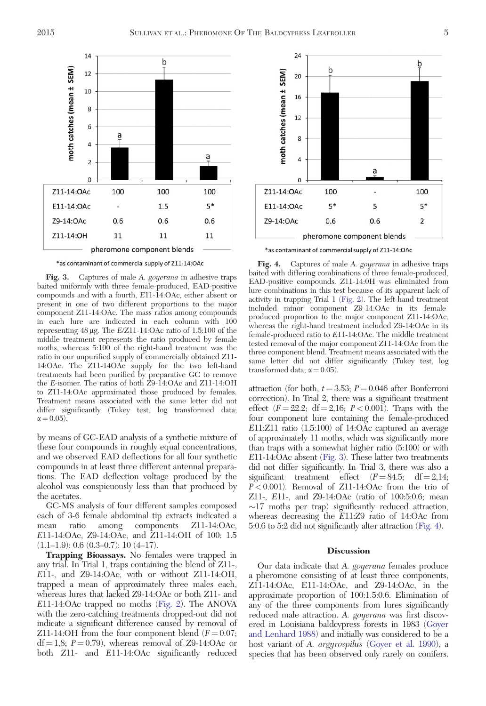

\*as contaminant of commercial supply of Z11-14:OAc

Fig. 3. Captures of male A. goyerana in adhesive traps baited uniformly with three female-produced, EAD-positive compounds and with a fourth, E11-14:OAc, either absent or present in one of two different proportions to the major component Z11-14:OAc. The mass ratios among compounds in each lure are indicated in each column with 100 representing  $48 \mu$ g. The  $E/Z11-14:OAc$  ratio of 1.5:100 of the middle treatment represents the ratio produced by female moths, whereas 5:100 of the right-hand treatment was the ratio in our unpurified supply of commercially obtained Z11- 14:OAc. The Z11-14OAc supply for the two left-hand treatments had been purified by preparative GC to remove the E-isomer. The ratios of both Z9-14:OAc and Z11-14:OH to Z11-14:OAc approximated those produced by females. Treatment means associated with the same letter did not differ significantly (Tukey test, log transformed data;  $\alpha = 0.05$ ).

by means of GC-EAD analysis of a synthetic mixture of these four compounds in roughly equal concentrations, and we observed EAD deflections for all four synthetic compounds in at least three different antennal preparations. The EAD deflection voltage produced by the alcohol was conspicuously less than that produced by the acetates.

GC-MS analysis of four different samples composed each of 3-6 female abdominal tip extracts indicated a mean ratio among components Z11-14:OAc, E11-14:OAc, Z9-14:OAc, and Z11-14:OH of 100: 1.5  $(1.1–1.9): 0.6 (0.3–0.7): 10 (4–17).$ 

Trapping Bioassays. No females were trapped in any trial. In Trial 1, traps containing the blend of Z11-, E11-, and Z9-14:OAc, with or without Z11-14:OH, trapped a mean of approximately three males each, whereas lures that lacked Z9-14:OAc or both Z11- and E11-14:OAc trapped no moths [\(Fig. 2\)](#page-3-0). The ANOVA with the zero-catching treatments dropped-out did not indicate a significant difference caused by removal of Z11-14:OH from the four component blend  $(F = 0.07;$  $df = 1.8$ ;  $P = 0.79$ ), whereas removal of Z9-14:OAc or both Z11- and E11-14:OAc significantly reduced



\*as contaminant of commercial supply of Z11-14:OAc

Fig. 4. Captures of male A. goyerana in adhesive traps baited with differing combinations of three female-produced, EAD-positive compounds. Z11-14:0H was eliminated from lure combinations in this test because of its apparent lack of activity in trapping Trial 1 ([Fig. 2\)](#page-3-0). The left-hand treatment included minor component Z9-14:OAc in its femaleproduced proportion to the major component Z11-14:OAc, whereas the right-hand treatment included Z9-14:OAc in its female-produced ratio to E11-14:OAc. The middle treatment tested removal of the major component Z11-14:OAc from the three component blend. Treatment means associated with the same letter did not differ significantly (Tukey test, log transformed data;  $\alpha = 0.05$ ).

attraction (for both,  $t = 3.53$ ;  $P = 0.046$  after Bonferroni correction). In Trial 2, there was a significant treatment effect  $(F = 22.2; df = 2.16; P < 0.001)$ . Traps with the four component lure containing the female-produced E11:Z11 ratio (1.5:100) of 14:OAc captured an average of approximately 11 moths, which was significantly more than traps with a somewhat higher ratio (5:100) or with E11-14:OAc absent (Fig. 3). These latter two treatments did not differ significantly. In Trial 3, there was also a significant treatment effect  $(F = 84.5; df = 2,14;$  $P < 0.001$ ). Removal of Z11-14:OAc from the trio of Z11-, E11-, and Z9-14:OAc (ratio of 100:5:0.6; mean  $\sim$ 17 moths per trap) significantly reduced attraction, whereas decreasing the E11:Z9 ratio of 14:OAc from 5:0.6 to 5:2 did not significantly alter attraction (Fig. 4).

## **Discussion**

Our data indicate that A. goyerana females produce a pheromone consisting of at least three components, Z11-14:OAc, E11-14:OAc, and Z9-14:OAc, in the approximate proportion of 100:1.5:0.6. Elimination of any of the three components from lures significantly reduced male attraction. A. goyerana was first discovered in Louisiana baldcypress forests in 1983 ([Goyer](#page-6-0) [and Lenhard 1988\)](#page-6-0) and initially was considered to be a host variant of A. argyrospilus [\(Goyer et al. 1990](#page-6-0)), a species that has been observed only rarely on conifers.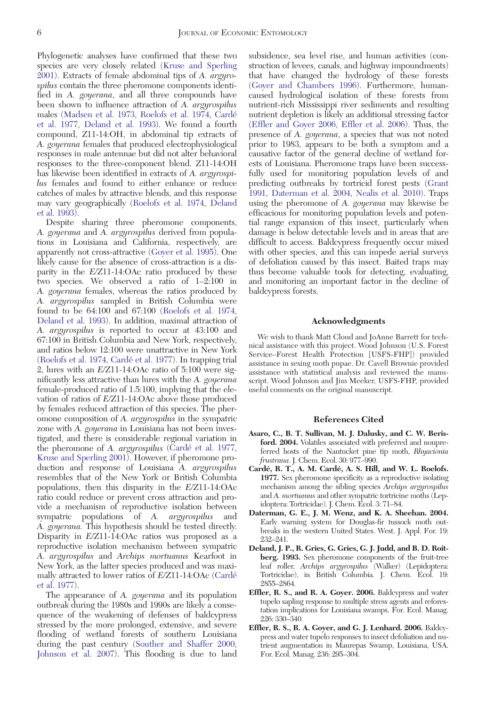<span id="page-5-0"></span>Phylogenetic analyses have confirmed that these two species are very closely related [\(Kruse and Sperling](#page-6-0) [2001](#page-6-0)). Extracts of female abdominal tips of A. argyrospilus contain the three pheromone components identified in A. goyerana, and all three compounds have been shown to influence attraction of A. argyrospilus males [\(Madsen et al. 1973](#page-6-0), [Roelofs et al. 1974](#page-6-0), Carde´ et al. 1977, Deland et al. 1993). We found a fourth compound, Z11-14:OH, in abdominal tip extracts of A. goyerana females that produced electrophysiological responses in male antennae but did not alter behavioral responses to the three-component blend. Z11-14:OH has likewise been identified in extracts of A. argyrospilus females and found to either enhance or reduce catches of males by attractive blends, and this response may vary geographically [\(Roelofs et al. 1974,](#page-6-0) Deland et al. 1993).

Despite sharing three pheromone components, A. goyerana and A. argyrospilus derived from populations in Louisiana and California, respectively, are apparently not cross-attractive [\(Goyer et al. 1995\)](#page-6-0). One likely cause for the absence of cross-attraction is a disparity in the E/Z11-14:OAc ratio produced by these two species. We observed a ratio of 1–2:100 in A. goyerana females, whereas the ratios produced by A. argyrospilus sampled in British Columbia were found to be 64:100 and 67:100 [\(Roelofs et al. 1974](#page-6-0), Deland et al. 1993). In addition, maximal attraction of A. argyrospilus is reported to occur at 43:100 and 67:100 in British Columbia and New York, respectively, and ratios below 12:100 were unattractive in New York ([Roelofs et al. 1974](#page-6-0), Carde´ et al. 1977). In trapping trial 2, lures with an E/Z11-14:OAc ratio of 5:100 were significantly less attractive than lures with the A. goyerana female-produced ratio of 1.5:100, implying that the elevation of ratios of E/Z11-14:OAc above those produced by females reduced attraction of this species. The pheromone composition of A. argyrospilus in the sympatric zone with A. goyerana in Louisiana has not been investigated, and there is considerable regional variation in the pheromone of A. *argyrospilus* (Cardé et al. 1977, [Kruse and Sperling 2001\)](#page-6-0). However, if pheromone production and response of Louisiana A. argyrospilus resembles that of the New York or British Columbia populations, then this disparity in the E/Z11-14:OAc ratio could reduce or prevent cross attraction and provide a mechanism of reproductive isolation between sympatric populations of A. *argyrospilus* and A. goyerana. This hypothesis should be tested directly. Disparity in E/Z11-14:OAc ratios was proposed as a reproductive isolation mechanism between sympatric A. argyrospilus and Archips mortuanus Kearfoot in New York, as the latter species produced and was maximally attracted to lower ratios of E/Z11-14:OAc (Carde´ et al. 1977).

The appearance of A. *goyerana* and its population outbreak during the 1980s and 1990s are likely a consequence of the weakening of defenses of baldcypress stressed by the more prolonged, extensive, and severe flooding of wetland forests of southern Louisiana during the past century [\(Souther and Shaffer 2000](#page-6-0), [Johnson et al. 2007](#page-6-0)). This flooding is due to land subsidence, sea level rise, and human activities (construction of levees, canals, and highway impoundments) that have changed the hydrology of these forests [\(Goyer and Chambers 1996](#page-6-0)). Furthermore, humancaused hydrological isolation of these forests from nutrient-rich Mississippi river sediments and resulting nutrient depletion is likely an additional stressing factor (Effler and Goyer 2006, Effler et al. 2006). Thus, the presence of A. goyerana, a species that was not noted prior to 1983, appears to be both a symptom and a causative factor of the general decline of wetland forests of Louisiana. Pheromone traps have been successfully used for monitoring population levels of and predicting outbreaks by tortricid forest pests ([Grant](#page-6-0) [1991](#page-6-0), Daterman et al. 2004, [Nealis et al. 2010\)](#page-6-0). Traps using the pheromone of A. goyerana may likewise be efficacious for monitoring population levels and potential range expansion of this insect, particularly when damage is below detectable levels and in areas that are difficult to access. Baldcypress frequently occur mixed with other species, and this can impede aerial surveys of defoliation caused by this insect. Baited traps may thus become valuable tools for detecting, evaluating, and monitoring an important factor in the decline of baldcypress forests.

#### Acknowledgments

We wish to thank Matt Cloud and JoAnne Barrett for technical assistance with this project. Wood Johnson (U.S. Forest Service–Forest Health Protection [USFS-FHP]) provided assistance in sexing moth pupae. Dr. Cavell Brownie provided assistance with statistical analysis and reviewed the manuscript. Wood Johnson and Jim Meeker, USFS-FHP, provided useful comments on the original manuscript.

## References Cited

- Asaro, C., B. T. Sullivan, M. J. Dalusky, and C. W. Berisford. 2004. Volatiles associated with preferred and nonpreferred hosts of the Nantucket pine tip moth, Rhyacionia frustrana. J. Chem. Ecol. 30: 977–990.
- Cardé, R. T., A. M. Cardé, A. S. Hill, and W. L. Roelofs. 1977. Sex pheromone specificity as a reproductive isolating mechanism among the sibling species Archips argyrospilus and A. mortuanus and other sympatric tortricine moths (Lepidoptera: Tortricidae). J. Chem. Ecol. 3: 71–84.
- Daterman, G. E., J. M. Wenz, and K. A. Sheehan. 2004. Early warning system for Douglas-fir tussock moth outbreaks in the western United States. West. J. Appl. For. 19: 232–241.
- Deland, J. P., R. Gries, G. Gries, G. J. Judd, and B. D. Roitberg. 1993. Sex pheromone components of the fruit-tree leaf roller, Archips argyrospilus (Walker) (Lepidoptera: Tortricidae), in British Columbia. J. Chem. Ecol. 19: 2855–2864.
- Effler, R. S., and R. A. Goyer. 2006. Baldcypress and water tupelo sapling response to multiple stress agents and reforestation implications for Louisiana swamps. For. Ecol. Manag. 226: 330–340.
- Effler, R. S., R. A. Goyer, and G. J. Lenhard. 2006. Baldcypress and water tupelo responses to insect defoliation and nutrient augmentation in Maurepas Swamp, Louisiana, USA. For. Ecol. Manag. 236: 295–304.